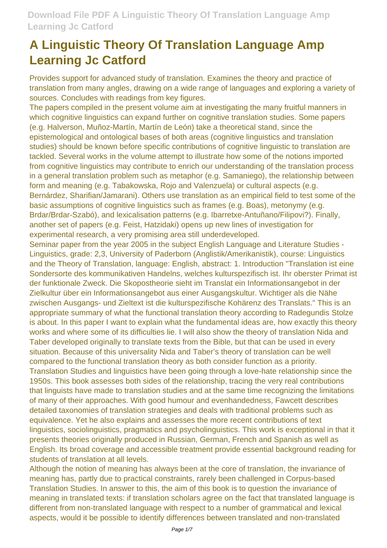# **A Linguistic Theory Of Translation Language Amp Learning Jc Catford**

Provides support for advanced study of translation. Examines the theory and practice of translation from many angles, drawing on a wide range of languages and exploring a variety of sources. Concludes with readings from key figures.

The papers compiled in the present volume aim at investigating the many fruitful manners in which cognitive linguistics can expand further on cognitive translation studies. Some papers (e.g. Halverson, Muñoz-Martín, Martín de León) take a theoretical stand, since the epistemological and ontological bases of both areas (cognitive linguistics and translation studies) should be known before specific contributions of cognitive linguistic to translation are tackled. Several works in the volume attempt to illustrate how some of the notions imported from cognitive linguistics may contribute to enrich our understanding of the translation process in a general translation problem such as metaphor (e.g. Samaniego), the relationship between form and meaning (e.g. Tabakowska, Rojo and Valenzuela) or cultural aspects (e.g. Bernárdez, Sharifian/Jamarani). Others use translation as an empirical field to test some of the basic assumptions of cognitive linguistics such as frames (e.g. Boas), metonymy (e.g. Brdar/Brdar-Szabó), and lexicalisation patterns (e.g. Ibarretxe-Antuñano/Filipovi?). Finally, another set of papers (e.g. Feist, Hatzidaki) opens up new lines of investigation for experimental research, a very promising area still underdeveloped.

Seminar paper from the year 2005 in the subject English Language and Literature Studies - Linguistics, grade: 2,3, University of Paderborn (Anglistik/Amerikanistik), course: Linguistics and the Theory of Translation, language: English, abstract: 1. Introduction "Translation ist eine Sondersorte des kommunikativen Handelns, welches kulturspezifisch ist. Ihr oberster Primat ist der funktionale Zweck. Die Skopostheorie sieht im Translat ein Informationsangebot in der Zielkultur über ein Informationsangebot aus einer Ausgangskultur. Wichtiger als die Nähe zwischen Ausgangs- und Zieltext ist die kulturspezifische Kohärenz des Translats." This is an appropriate summary of what the functional translation theory according to Radegundis Stolze is about. In this paper I want to explain what the fundamental ideas are, how exactly this theory works and where some of its difficulties lie. I will also show the theory of translation Nida and Taber developed originally to translate texts from the Bible, but that can be used in every situation. Because of this universality Nida and Taber's theory of translation can be well compared to the functional translation theory as both consider function as a priority. Translation Studies and linguistics have been going through a love-hate relationship since the 1950s. This book assesses both sides of the relationship, tracing the very real contributions that linguists have made to translation studies and at the same time recognizing the limitations of many of their approaches. With good humour and evenhandedness, Fawcett describes detailed taxonomies of translation strategies and deals with traditional problems such as equivalence. Yet he also explains and assesses the more recent contributions of text linguistics, sociolinguistics, pragmatics and psycholinguistics. This work is exceptional in that it presents theories originally produced in Russian, German, French and Spanish as well as English. Its broad coverage and accessible treatment provide essential background reading for students of translation at all levels.

Although the notion of meaning has always been at the core of translation, the invariance of meaning has, partly due to practical constraints, rarely been challenged in Corpus-based Translation Studies. In answer to this, the aim of this book is to question the invariance of meaning in translated texts: if translation scholars agree on the fact that translated language is different from non-translated language with respect to a number of grammatical and lexical aspects, would it be possible to identify differences between translated and non-translated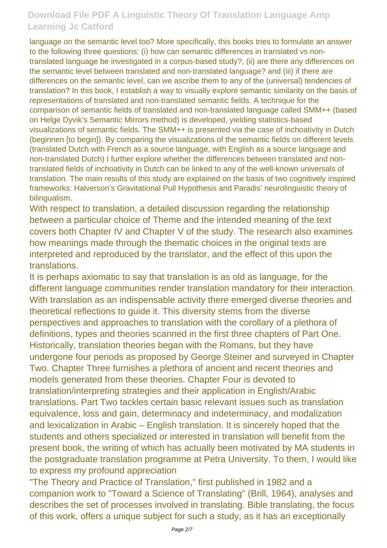language on the semantic level too? More specifically, this books tries to formulate an answer to the following three questions: (i) how can semantic differences in translated vs nontranslated language be investigated in a corpus-based study?, (ii) are there any differences on the semantic level between translated and non-translated language? and (iii) if there are differences on the semantic level, can we ascribe them to any of the (universal) tendencies of translation? In this book, I establish a way to visually explore semantic similarity on the basis of representations of translated and non-translated semantic fields. A technique for the comparison of semantic fields of translated and non-translated language called SMM++ (based on Helge Dyvik's Semantic Mirrors method) is developed, yielding statistics-based visualizations of semantic fields. The SMM++ is presented via the case of inchoativity in Dutch (beginnen [to begin]). By comparing the visualizations of the semantic fields on different levels (translated Dutch with French as a source language, with English as a source language and non-translated Dutch) I further explore whether the differences between translated and nontranslated fields of inchoativity in Dutch can be linked to any of the well-known universals of translation. The main results of this study are explained on the basis of two cognitively inspired frameworks: Halverson's Gravitational Pull Hypothesis and Paradis' neurolinguistic theory of bilingualism.

With respect to translation, a detailed discussion regarding the relationship between a particular choice of Theme and the intended meaning of the text covers both Chapter IV and Chapter V of the study. The research also examines how meanings made through the thematic choices in the original texts are interpreted and reproduced by the translator, and the effect of this upon the translations.

It is perhaps axiomatic to say that translation is as old as language, for the different language communities render translation mandatory for their interaction. With translation as an indispensable activity there emerged diverse theories and theoretical reflections to guide it. This diversity stems from the diverse perspectives and approaches to translation with the corollary of a plethora of definitions, types and theories scanned in the first three chapters of Part One. Historically, translation theories began with the Romans, but they have undergone four periods as proposed by George Steiner and surveyed in Chapter Two. Chapter Three furnishes a plethora of ancient and recent theories and models generated from these theories. Chapter Four is devoted to translation/interpreting strategies and their application in English/Arabic translations. Part Two tackles certain basic relevant issues such as translation equivalence, loss and gain, determinacy and indeterminacy, and modalization and lexicalization in Arabic – English translation. It is sincerely hoped that the students and others specialized or interested in translation will benefit from the present book, the writing of which has actually been motivated by MA students in the postgraduate translation programme at Petra University. To them, I would like to express my profound appreciation

"The Theory and Practice of Translation," first published in 1982 and a companion work to "Toward a Science of Translating" (Brill, 1964), analyses and describes the set of processes involved in translating. Bible translating, the focus of this work, offers a unique subject for such a study, as it has an exceptionally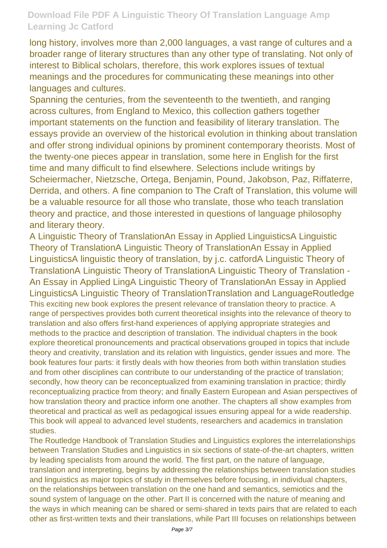long history, involves more than 2,000 languages, a vast range of cultures and a broader range of literary structures than any other type of translating. Not only of interest to Biblical scholars, therefore, this work explores issues of textual meanings and the procedures for communicating these meanings into other languages and cultures.

Spanning the centuries, from the seventeenth to the twentieth, and ranging across cultures, from England to Mexico, this collection gathers together important statements on the function and feasibility of literary translation. The essays provide an overview of the historical evolution in thinking about translation and offer strong individual opinions by prominent contemporary theorists. Most of the twenty-one pieces appear in translation, some here in English for the first time and many difficult to find elsewhere. Selections include writings by Scheiermacher, Nietzsche, Ortega, Benjamin, Pound, Jakobson, Paz, Riffaterre, Derrida, and others. A fine companion to The Craft of Translation, this volume will be a valuable resource for all those who translate, those who teach translation theory and practice, and those interested in questions of language philosophy and literary theory.

A Linguistic Theory of TranslationAn Essay in Applied LinguisticsA Linguistic Theory of TranslationA Linguistic Theory of TranslationAn Essay in Applied LinguisticsA linguistic theory of translation, by j.c. catfordA Linguistic Theory of TranslationA Linguistic Theory of TranslationA Linguistic Theory of Translation - An Essay in Applied LingA Linguistic Theory of TranslationAn Essay in Applied LinguisticsA Linguistic Theory of TranslationTranslation and LanguageRoutledge This exciting new book explores the present relevance of translation theory to practice. A range of perspectives provides both current theoretical insights into the relevance of theory to translation and also offers first-hand experiences of applying appropriate strategies and methods to the practice and description of translation. The individual chapters in the book explore theoretical pronouncements and practical observations grouped in topics that include theory and creativity, translation and its relation with linguistics, gender issues and more. The book features four parts: it firstly deals with how theories from both within translation studies and from other disciplines can contribute to our understanding of the practice of translation; secondly, how theory can be reconceptualized from examining translation in practice; thirdly reconceptualizing practice from theory; and finally Eastern European and Asian perspectives of how translation theory and practice inform one another. The chapters all show examples from theoretical and practical as well as pedagogical issues ensuring appeal for a wide readership. This book will appeal to advanced level students, researchers and academics in translation studies.

The Routledge Handbook of Translation Studies and Linguistics explores the interrelationships between Translation Studies and Linguistics in six sections of state-of-the-art chapters, written by leading specialists from around the world. The first part, on the nature of language, translation and interpreting, begins by addressing the relationships between translation studies and linguistics as major topics of study in themselves before focusing, in individual chapters, on the relationships between translation on the one hand and semantics, semiotics and the sound system of language on the other. Part II is concerned with the nature of meaning and the ways in which meaning can be shared or semi-shared in texts pairs that are related to each other as first-written texts and their translations, while Part III focuses on relationships between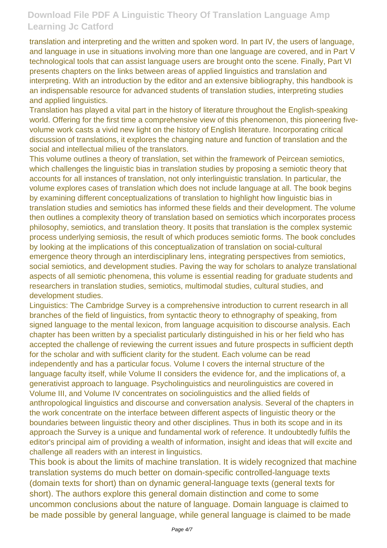translation and interpreting and the written and spoken word. In part IV, the users of language, and language in use in situations involving more than one language are covered, and in Part V technological tools that can assist language users are brought onto the scene. Finally, Part VI presents chapters on the links between areas of applied linguistics and translation and interpreting. With an introduction by the editor and an extensive bibliography, this handbook is an indispensable resource for advanced students of translation studies, interpreting studies and applied linguistics.

Translation has played a vital part in the history of literature throughout the English-speaking world. Offering for the first time a comprehensive view of this phenomenon, this pioneering fivevolume work casts a vivid new light on the history of English literature. Incorporating critical discussion of translations, it explores the changing nature and function of translation and the social and intellectual milieu of the translators.

This volume outlines a theory of translation, set within the framework of Peircean semiotics, which challenges the linguistic bias in translation studies by proposing a semiotic theory that accounts for all instances of translation, not only interlinguistic translation. In particular, the volume explores cases of translation which does not include language at all. The book begins by examining different conceptualizations of translation to highlight how linguistic bias in translation studies and semiotics has informed these fields and their development. The volume then outlines a complexity theory of translation based on semiotics which incorporates process philosophy, semiotics, and translation theory. It posits that translation is the complex systemic process underlying semiosis, the result of which produces semiotic forms. The book concludes by looking at the implications of this conceptualization of translation on social-cultural emergence theory through an interdisciplinary lens, integrating perspectives from semiotics, social semiotics, and development studies. Paving the way for scholars to analyze translational aspects of all semiotic phenomena, this volume is essential reading for graduate students and researchers in translation studies, semiotics, multimodal studies, cultural studies, and development studies.

Linguistics: The Cambridge Survey is a comprehensive introduction to current research in all branches of the field of linguistics, from syntactic theory to ethnography of speaking, from signed language to the mental lexicon, from language acquisition to discourse analysis. Each chapter has been written by a specialist particularly distinguished in his or her field who has accepted the challenge of reviewing the current issues and future prospects in sufficient depth for the scholar and with sufficient clarity for the student. Each volume can be read independently and has a particular focus. Volume I covers the internal structure of the language faculty itself, while Volume II considers the evidence for, and the implications of, a generativist approach to language. Psycholinguistics and neurolinguistics are covered in Volume III, and Volume IV concentrates on sociolinguistics and the allied fields of anthropological linguistics and discourse and conversation analysis. Several of the chapters in the work concentrate on the interface between different aspects of linguistic theory or the boundaries between linguistic theory and other disciplines. Thus in both its scope and in its approach the Survey is a unique and fundamental work of reference. It undoubtedly fulfils the editor's principal aim of providing a wealth of information, insight and ideas that will excite and challenge all readers with an interest in linguistics.

This book is about the limits of machine translation. It is widely recognized that machine translation systems do much better on domain-specific controlled-language texts (domain texts for short) than on dynamic general-language texts (general texts for short). The authors explore this general domain distinction and come to some uncommon conclusions about the nature of language. Domain language is claimed to be made possible by general language, while general language is claimed to be made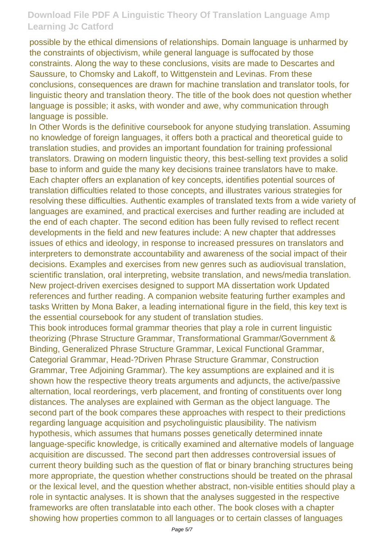possible by the ethical dimensions of relationships. Domain language is unharmed by the constraints of objectivism, while general language is suffocated by those constraints. Along the way to these conclusions, visits are made to Descartes and Saussure, to Chomsky and Lakoff, to Wittgenstein and Levinas. From these conclusions, consequences are drawn for machine translation and translator tools, for linguistic theory and translation theory. The title of the book does not question whether language is possible; it asks, with wonder and awe, why communication through language is possible.

In Other Words is the definitive coursebook for anyone studying translation. Assuming no knowledge of foreign languages, it offers both a practical and theoretical guide to translation studies, and provides an important foundation for training professional translators. Drawing on modern linguistic theory, this best-selling text provides a solid base to inform and guide the many key decisions trainee translators have to make. Each chapter offers an explanation of key concepts, identifies potential sources of translation difficulties related to those concepts, and illustrates various strategies for resolving these difficulties. Authentic examples of translated texts from a wide variety of languages are examined, and practical exercises and further reading are included at the end of each chapter. The second edition has been fully revised to reflect recent developments in the field and new features include: A new chapter that addresses issues of ethics and ideology, in response to increased pressures on translators and interpreters to demonstrate accountability and awareness of the social impact of their decisions. Examples and exercises from new genres such as audiovisual translation, scientific translation, oral interpreting, website translation, and news/media translation. New project-driven exercises designed to support MA dissertation work Updated references and further reading. A companion website featuring further examples and tasks Written by Mona Baker, a leading international figure in the field, this key text is the essential coursebook for any student of translation studies.

This book introduces formal grammar theories that play a role in current linguistic theorizing (Phrase Structure Grammar, Transformational Grammar/Government & Binding, Generalized Phrase Structure Grammar, Lexical Functional Grammar, Categorial Grammar, Head-?Driven Phrase Structure Grammar, Construction Grammar, Tree Adjoining Grammar). The key assumptions are explained and it is shown how the respective theory treats arguments and adjuncts, the active/passive alternation, local reorderings, verb placement, and fronting of constituents over long distances. The analyses are explained with German as the object language. The second part of the book compares these approaches with respect to their predictions regarding language acquisition and psycholinguistic plausibility. The nativism hypothesis, which assumes that humans posses genetically determined innate language-specific knowledge, is critically examined and alternative models of language acquisition are discussed. The second part then addresses controversial issues of current theory building such as the question of flat or binary branching structures being more appropriate, the question whether constructions should be treated on the phrasal or the lexical level, and the question whether abstract, non-visible entities should play a role in syntactic analyses. It is shown that the analyses suggested in the respective frameworks are often translatable into each other. The book closes with a chapter showing how properties common to all languages or to certain classes of languages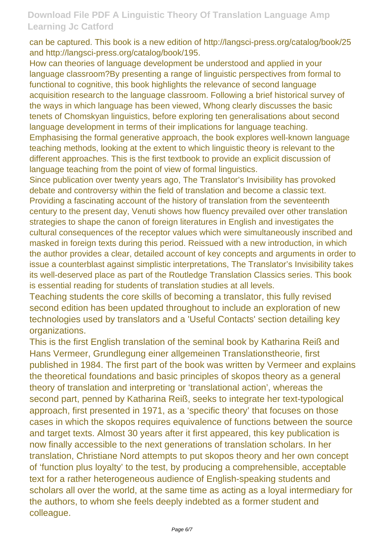can be captured. This book is a new edition of http://langsci-press.org/catalog/book/25 and http://langsci-press.org/catalog/book/195.

How can theories of language development be understood and applied in your language classroom?By presenting a range of linguistic perspectives from formal to functional to cognitive, this book highlights the relevance of second language acquisition research to the language classroom. Following a brief historical survey of the ways in which language has been viewed, Whong clearly discusses the basic tenets of Chomskyan linguistics, before exploring ten generalisations about second language development in terms of their implications for language teaching. Emphasising the formal generative approach, the book explores well-known language teaching methods, looking at the extent to which linguistic theory is relevant to the

different approaches. This is the first textbook to provide an explicit discussion of language teaching from the point of view of formal linguistics.

Since publication over twenty years ago, The Translator's Invisibility has provoked debate and controversy within the field of translation and become a classic text. Providing a fascinating account of the history of translation from the seventeenth century to the present day, Venuti shows how fluency prevailed over other translation strategies to shape the canon of foreign literatures in English and investigates the cultural consequences of the receptor values which were simultaneously inscribed and masked in foreign texts during this period. Reissued with a new introduction, in which the author provides a clear, detailed account of key concepts and arguments in order to issue a counterblast against simplistic interpretations, The Translator's Invisibility takes its well-deserved place as part of the Routledge Translation Classics series. This book is essential reading for students of translation studies at all levels.

Teaching students the core skills of becoming a translator, this fully revised second edition has been updated throughout to include an exploration of new technologies used by translators and a 'Useful Contacts' section detailing key organizations.

This is the first English translation of the seminal book by Katharina Reiß and Hans Vermeer, Grundlegung einer allgemeinen Translationstheorie, first published in 1984. The first part of the book was written by Vermeer and explains the theoretical foundations and basic principles of skopos theory as a general theory of translation and interpreting or 'translational action', whereas the second part, penned by Katharina Reiß, seeks to integrate her text-typological approach, first presented in 1971, as a 'specific theory' that focuses on those cases in which the skopos requires equivalence of functions between the source and target texts. Almost 30 years after it first appeared, this key publication is now finally accessible to the next generations of translation scholars. In her translation, Christiane Nord attempts to put skopos theory and her own concept of 'function plus loyalty' to the test, by producing a comprehensible, acceptable text for a rather heterogeneous audience of English-speaking students and scholars all over the world, at the same time as acting as a loyal intermediary for the authors, to whom she feels deeply indebted as a former student and colleague.